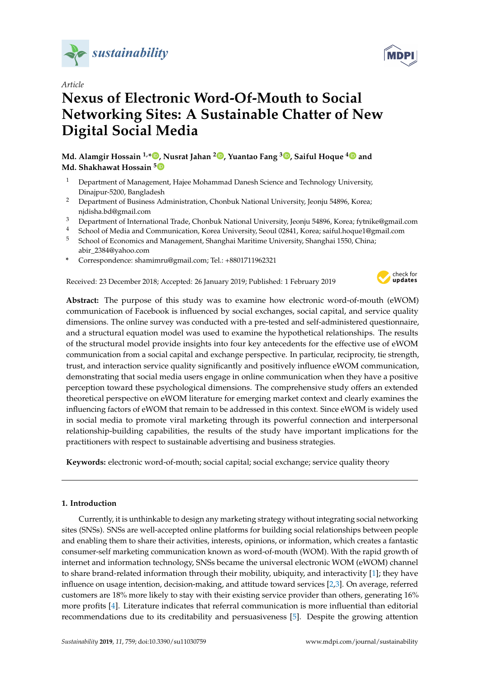

*Article*

# **Nexus of Electronic Word-Of-Mouth to Social Networking Sites: A Sustainable Chatter of New Digital Social Media**

**Md. Alamgir Hossain 1,[\\*](https://orcid.org/0000-0002-8217-6610) , Nusrat Jahan <sup>2</sup> [,](https://orcid.org/0000-0002-8078-732X) Yuantao Fang <sup>3</sup> [,](https://orcid.org/0000-0002-3050-5531) Saiful Hoque [4](https://orcid.org/0000-0003-1367-7494) and Md. Shakhawat Hossain [5](https://orcid.org/0000-0001-6627-4635)**

- <sup>1</sup> Department of Management, Hajee Mohammad Danesh Science and Technology University, Dinajpur-5200, Bangladesh
- <sup>2</sup> Department of Business Administration, Chonbuk National University, Jeonju 54896, Korea; njdisha.bd@gmail.com
- <sup>3</sup> Department of International Trade, Chonbuk National University, Jeonju 54896, Korea; fytnike@gmail.com
- <sup>4</sup> School of Media and Communication, Korea University, Seoul 02841, Korea; saiful.hoque1@gmail.com
- <sup>5</sup> School of Economics and Management, Shanghai Maritime University, Shanghai 1550, China; abir\_2384@yahoo.com
- **\*** Correspondence: shamimru@gmail.com; Tel.: +8801711962321

Received: 23 December 2018; Accepted: 26 January 2019; Published: 1 February 2019



**Abstract:** The purpose of this study was to examine how electronic word-of-mouth (eWOM) communication of Facebook is influenced by social exchanges, social capital, and service quality dimensions. The online survey was conducted with a pre-tested and self-administered questionnaire, and a structural equation model was used to examine the hypothetical relationships. The results of the structural model provide insights into four key antecedents for the effective use of eWOM communication from a social capital and exchange perspective. In particular, reciprocity, tie strength, trust, and interaction service quality significantly and positively influence eWOM communication, demonstrating that social media users engage in online communication when they have a positive perception toward these psychological dimensions. The comprehensive study offers an extended theoretical perspective on eWOM literature for emerging market context and clearly examines the influencing factors of eWOM that remain to be addressed in this context. Since eWOM is widely used in social media to promote viral marketing through its powerful connection and interpersonal relationship-building capabilities, the results of the study have important implications for the practitioners with respect to sustainable advertising and business strategies.

**Keywords:** electronic word-of-mouth; social capital; social exchange; service quality theory

# **1. Introduction**

Currently, it is unthinkable to design any marketing strategy without integrating social networking sites (SNSs). SNSs are well-accepted online platforms for building social relationships between people and enabling them to share their activities, interests, opinions, or information, which creates a fantastic consumer-self marketing communication known as word-of-mouth (WOM). With the rapid growth of internet and information technology, SNSs became the universal electronic WOM (eWOM) channel to share brand-related information through their mobility, ubiquity, and interactivity [\[1\]](#page-12-0); they have influence on usage intention, decision-making, and attitude toward services [\[2,](#page-12-1)[3\]](#page-12-2). On average, referred customers are 18% more likely to stay with their existing service provider than others, generating 16% more profits [\[4\]](#page-12-3). Literature indicates that referral communication is more influential than editorial recommendations due to its creditability and persuasiveness [\[5\]](#page-12-4). Despite the growing attention

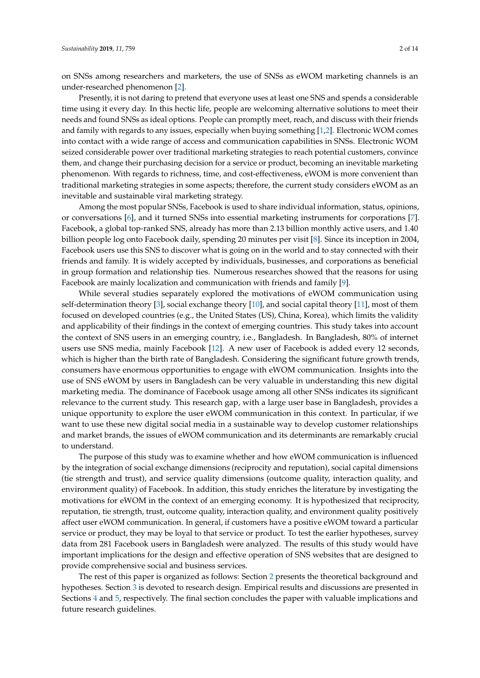on SNSs among researchers and marketers, the use of SNSs as eWOM marketing channels is an under-researched phenomenon [\[2\]](#page-12-1).

Presently, it is not daring to pretend that everyone uses at least one SNS and spends a considerable time using it every day. In this hectic life, people are welcoming alternative solutions to meet their needs and found SNSs as ideal options. People can promptly meet, reach, and discuss with their friends and family with regards to any issues, especially when buying something [\[1,](#page-12-0)[2\]](#page-12-1). Electronic WOM comes into contact with a wide range of access and communication capabilities in SNSs. Electronic WOM seized considerable power over traditional marketing strategies to reach potential customers, convince them, and change their purchasing decision for a service or product, becoming an inevitable marketing phenomenon. With regards to richness, time, and cost-effectiveness, eWOM is more convenient than traditional marketing strategies in some aspects; therefore, the current study considers eWOM as an inevitable and sustainable viral marketing strategy.

Among the most popular SNSs, Facebook is used to share individual information, status, opinions, or conversations [\[6\]](#page-12-5), and it turned SNSs into essential marketing instruments for corporations [\[7\]](#page-12-6). Facebook, a global top-ranked SNS, already has more than 2.13 billion monthly active users, and 1.40 billion people log onto Facebook daily, spending 20 minutes per visit [\[8\]](#page-12-7). Since its inception in 2004, Facebook users use this SNS to discover what is going on in the world and to stay connected with their friends and family. It is widely accepted by individuals, businesses, and corporations as beneficial in group formation and relationship ties. Numerous researches showed that the reasons for using Facebook are mainly localization and communication with friends and family [\[9\]](#page-12-8).

While several studies separately explored the motivations of eWOM communication using self-determination theory [\[3\]](#page-12-2), social exchange theory [\[10\]](#page-12-9), and social capital theory [\[11\]](#page-12-10), most of them focused on developed countries (e.g., the United States (US), China, Korea), which limits the validity and applicability of their findings in the context of emerging countries. This study takes into account the context of SNS users in an emerging country, i.e., Bangladesh. In Bangladesh, 80% of internet users use SNS media, mainly Facebook [\[12\]](#page-12-11). A new user of Facebook is added every 12 seconds, which is higher than the birth rate of Bangladesh. Considering the significant future growth trends, consumers have enormous opportunities to engage with eWOM communication. Insights into the use of SNS eWOM by users in Bangladesh can be very valuable in understanding this new digital marketing media. The dominance of Facebook usage among all other SNSs indicates its significant relevance to the current study. This research gap, with a large user base in Bangladesh, provides a unique opportunity to explore the user eWOM communication in this context. In particular, if we want to use these new digital social media in a sustainable way to develop customer relationships and market brands, the issues of eWOM communication and its determinants are remarkably crucial to understand.

The purpose of this study was to examine whether and how eWOM communication is influenced by the integration of social exchange dimensions (reciprocity and reputation), social capital dimensions (tie strength and trust), and service quality dimensions (outcome quality, interaction quality, and environment quality) of Facebook. In addition, this study enriches the literature by investigating the motivations for eWOM in the context of an emerging economy. It is hypothesized that reciprocity, reputation, tie strength, trust, outcome quality, interaction quality, and environment quality positively affect user eWOM communication. In general, if customers have a positive eWOM toward a particular service or product, they may be loyal to that service or product. To test the earlier hypotheses, survey data from 281 Facebook users in Bangladesh were analyzed. The results of this study would have important implications for the design and effective operation of SNS websites that are designed to provide comprehensive social and business services.

The rest of this paper is organized as follows: Section [2](#page-2-0) presents the theoretical background and hypotheses. Section [3](#page-4-0) is devoted to research design. Empirical results and discussions are presented in Sections [4](#page-6-0) and [5,](#page-9-0) respectively. The final section concludes the paper with valuable implications and future research guidelines.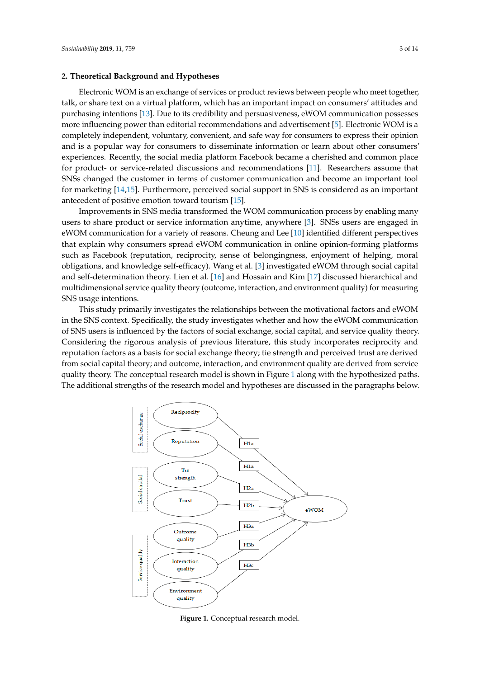# <span id="page-2-0"></span>**2. Theoretical Background and Hypotheses** *Sustainability* **2018**, *10*, x FOR PEER REVIEW 3 of 14

Electronic WOM is an exchange of services or product reviews between people who meet together, Electronic WOM is an exchange of services or product reviews between people who meet talk, or share text on a virtual platform, which has an important impact on consumers' attitudes and purchasing intentions [\[13\]](#page-12-12). Due to its credibility and persuasiveness, eWOM communication possesses mo[re](#page-12-4) influencing power than editorial recommendations and advertisement [5]. Electronic WOM is a completely independent, voluntary, convenient, and safe way for consumers to express their opinion and is a popular way for consumers to disseminate information or learn about other consumers' experiences. Recently, the social media platform Facebook became a cherished and common place for product- or [serv](#page-12-10)ice-related discussions and recommendations [11]. Researchers assume that SNSs changed the customer in terms of customer communication and become an important tool for marketing [14,15]. Furthermore, perceived social support in SNS is considered as an important antecedent of positive emotion toward tourism [\[15\]](#page-12-14).

Improvements in SNS media transformed the WOM communication process by enabling many Improvements in SNS media transformed the WOM communication process by enabling many users to share product or service information anytime, anywhere [\[3\]](#page-12-2). SNSs users are engaged in eWOM communication for a variety of reasons. Cheung and Lee [10] identified different perspectives eWOM communication for a variety of reasons. Cheung and Lee [[10\]](#page-12-9) identified different perspectives that explain why consumers spread eWOM communication in online opinion-forming platforms that explain why consumers spread eWOM communication in online opinion-forming platforms such as Facebook (reputation, reciprocity, sense of belongingness, enjoyment of helping, moral such as Facebook (reputation, reciprocity, sense of belongingness, enjoyment of helping, moral obligations, and knowledge self-efficacy). Wang et al. [\[3\]](#page-12-2) investigated eWOM through social capital obligations, and knowledge self-efficacy). Wang et al. [3] investigated eWOM through social capital and self-determination theory. Lien et al. [16] and Hossain and Kim [17] discussed hierarchical and and self-determination theory. Lien et al. [\[16\]](#page-12-15) and Hossain and Kim [\[17\]](#page-12-16) discussed hierarchical and multidimensional service quality theory (outcome, interaction, and environment quality) for measuring multidimensional service quality theory (outcome, interaction, and environment quality) for SNS usage intentions.

This study primarily investigates the relationships between the motivational factors and eWOM This study primarily investigates the relationships between the motivational factors and eWOM in the SNS context. Specifically, the study investigates whether and how the eWOM communication in the SNS context. Specifically, the study investigates whether and how the eWOM communication of SNS users is influenced by the factors of social exchange, social capital, and service quality theory. of SNS users is influenced by the factors of social exchange, social capital, and service quality theory. Considering the rigorous analysis of previous literature, this study incorporates reciprocity and Considering the rigorous analysis of previous literature, this study incorporates reciprocity and reputation factors as a basis for social exchange theory; tie strength and perceived trust are derived from social capital theory; and outcome, interaction, and environment quality are derived from service from social capital theory; and outcome, interaction, and environment quality are derived from quality theory. The conceptual research model is s[ho](#page-2-1)wn in Figure 1 along with the hypothesized paths. The additional strengths of the research model and hypotheses are discussed in the paragraphs below.

<span id="page-2-1"></span>

**Figure 1.** Conceptual research model **Figure 1.** Conceptual research model.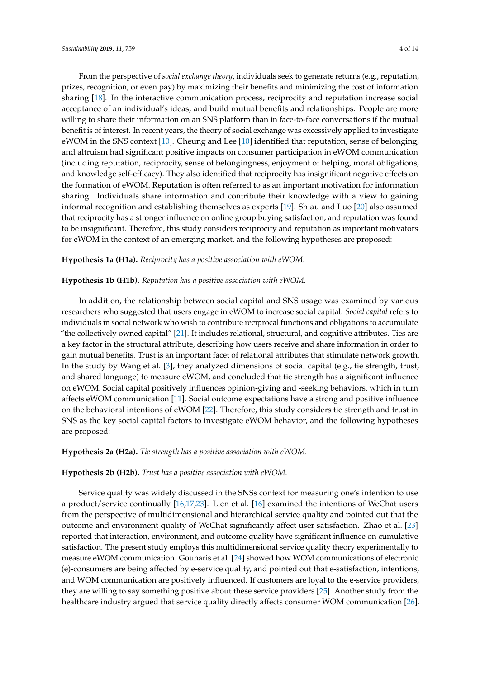From the perspective of *social exchange theory*, individuals seek to generate returns (e.g., reputation, prizes, recognition, or even pay) by maximizing their benefits and minimizing the cost of information sharing [\[18\]](#page-12-17). In the interactive communication process, reciprocity and reputation increase social acceptance of an individual's ideas, and build mutual benefits and relationships. People are more willing to share their information on an SNS platform than in face-to-face conversations if the mutual benefit is of interest. In recent years, the theory of social exchange was excessively applied to investigate eWOM in the SNS context [\[10\]](#page-12-9). Cheung and Lee [\[10\]](#page-12-9) identified that reputation, sense of belonging, and altruism had significant positive impacts on consumer participation in eWOM communication (including reputation, reciprocity, sense of belongingness, enjoyment of helping, moral obligations, and knowledge self-efficacy). They also identified that reciprocity has insignificant negative effects on the formation of eWOM. Reputation is often referred to as an important motivation for information sharing. Individuals share information and contribute their knowledge with a view to gaining informal recognition and establishing themselves as experts [\[19\]](#page-12-18). Shiau and Luo [\[20\]](#page-12-19) also assumed that reciprocity has a stronger influence on online group buying satisfaction, and reputation was found to be insignificant. Therefore, this study considers reciprocity and reputation as important motivators for eWOM in the context of an emerging market, and the following hypotheses are proposed:

#### **Hypothesis 1a (H1a).** *Reciprocity has a positive association with eWOM.*

#### **Hypothesis 1b (H1b).** *Reputation has a positive association with eWOM.*

In addition, the relationship between social capital and SNS usage was examined by various researchers who suggested that users engage in eWOM to increase social capital. *Social capital* refers to individuals in social network who wish to contribute reciprocal functions and obligations to accumulate "the collectively owned capital" [\[21\]](#page-12-20). It includes relational, structural, and cognitive attributes. Ties are a key factor in the structural attribute, describing how users receive and share information in order to gain mutual benefits. Trust is an important facet of relational attributes that stimulate network growth. In the study by Wang et al. [\[3\]](#page-12-2), they analyzed dimensions of social capital (e.g., tie strength, trust, and shared language) to measure eWOM, and concluded that tie strength has a significant influence on eWOM. Social capital positively influences opinion-giving and -seeking behaviors, which in turn affects eWOM communication [\[11\]](#page-12-10). Social outcome expectations have a strong and positive influence on the behavioral intentions of eWOM [\[22\]](#page-12-21). Therefore, this study considers tie strength and trust in SNS as the key social capital factors to investigate eWOM behavior, and the following hypotheses are proposed:

#### **Hypothesis 2a (H2a).** *Tie strength has a positive association with eWOM.*

#### **Hypothesis 2b (H2b).** *Trust has a positive association with eWOM.*

Service quality was widely discussed in the SNSs context for measuring one's intention to use a product/service continually [\[16](#page-12-15)[,17](#page-12-16)[,23\]](#page-13-0). Lien et al. [\[16\]](#page-12-15) examined the intentions of WeChat users from the perspective of multidimensional and hierarchical service quality and pointed out that the outcome and environment quality of WeChat significantly affect user satisfaction. Zhao et al. [\[23\]](#page-13-0) reported that interaction, environment, and outcome quality have significant influence on cumulative satisfaction. The present study employs this multidimensional service quality theory experimentally to measure eWOM communication. Gounaris et al. [\[24\]](#page-13-1) showed how WOM communications of electronic (e)-consumers are being affected by e-service quality, and pointed out that e-satisfaction, intentions, and WOM communication are positively influenced. If customers are loyal to the e-service providers, they are willing to say something positive about these service providers [\[25\]](#page-13-2). Another study from the healthcare industry argued that service quality directly affects consumer WOM communication [\[26\]](#page-13-3).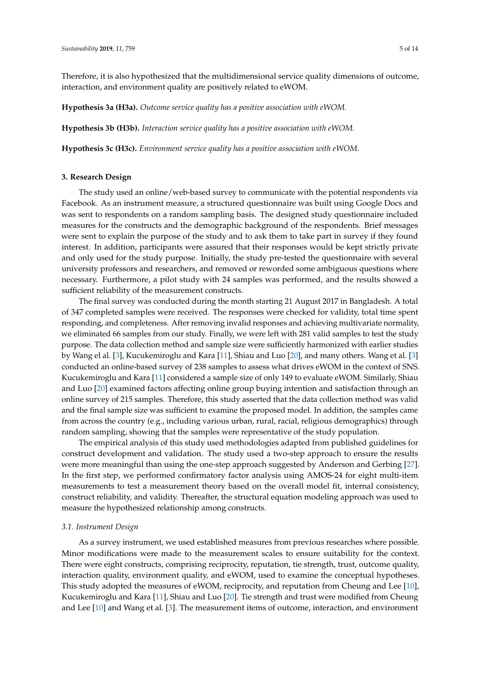Therefore, it is also hypothesized that the multidimensional service quality dimensions of outcome, interaction, and environment quality are positively related to eWOM.

**Hypothesis 3a (H3a).** *Outcome service quality has a positive association with eWOM.*

**Hypothesis 3b (H3b).** *Interaction service quality has a positive association with eWOM.*

**Hypothesis 3c (H3c).** *Environment service quality has a positive association with eWOM.*

#### <span id="page-4-0"></span>**3. Research Design**

The study used an online/web-based survey to communicate with the potential respondents via Facebook. As an instrument measure, a structured questionnaire was built using Google Docs and was sent to respondents on a random sampling basis. The designed study questionnaire included measures for the constructs and the demographic background of the respondents. Brief messages were sent to explain the purpose of the study and to ask them to take part in survey if they found interest. In addition, participants were assured that their responses would be kept strictly private and only used for the study purpose. Initially, the study pre-tested the questionnaire with several university professors and researchers, and removed or reworded some ambiguous questions where necessary. Furthermore, a pilot study with 24 samples was performed, and the results showed a sufficient reliability of the measurement constructs.

The final survey was conducted during the month starting 21 August 2017 in Bangladesh. A total of 347 completed samples were received. The responses were checked for validity, total time spent responding, and completeness. After removing invalid responses and achieving multivariate normality, we eliminated 66 samples from our study. Finally, we were left with 281 valid samples to test the study purpose. The data collection method and sample size were sufficiently harmonized with earlier studies by Wang el al. [\[3\]](#page-12-2), Kucukemiroglu and Kara [\[11\]](#page-12-10), Shiau and Luo [\[20\]](#page-12-19), and many others. Wang et al. [\[3\]](#page-12-2) conducted an online-based survey of 238 samples to assess what drives eWOM in the context of SNS. Kucukemiroglu and Kara [\[11\]](#page-12-10) considered a sample size of only 149 to evaluate eWOM. Similarly, Shiau and Luo [\[20\]](#page-12-19) examined factors affecting online group buying intention and satisfaction through an online survey of 215 samples. Therefore, this study asserted that the data collection method was valid and the final sample size was sufficient to examine the proposed model. In addition, the samples came from across the country (e.g., including various urban, rural, racial, religious demographics) through random sampling, showing that the samples were representative of the study population.

The empirical analysis of this study used methodologies adapted from published guidelines for construct development and validation. The study used a two-step approach to ensure the results were more meaningful than using the one-step approach suggested by Anderson and Gerbing [\[27\]](#page-13-4). In the first step, we performed confirmatory factor analysis using AMOS-24 for eight multi-item measurements to test a measurement theory based on the overall model fit, internal consistency, construct reliability, and validity. Thereafter, the structural equation modeling approach was used to measure the hypothesized relationship among constructs.

#### *3.1. Instrument Design*

As a survey instrument, we used established measures from previous researches where possible. Minor modifications were made to the measurement scales to ensure suitability for the context. There were eight constructs, comprising reciprocity, reputation, tie strength, trust, outcome quality, interaction quality, environment quality, and eWOM, used to examine the conceptual hypotheses. This study adopted the measures of eWOM, reciprocity, and reputation from Cheung and Lee [\[10\]](#page-12-9), Kucukemiroglu and Kara [\[11\]](#page-12-10), Shiau and Luo [\[20\]](#page-12-19). Tie strength and trust were modified from Cheung and Lee [\[10\]](#page-12-9) and Wang et al. [\[3\]](#page-12-2). The measurement items of outcome, interaction, and environment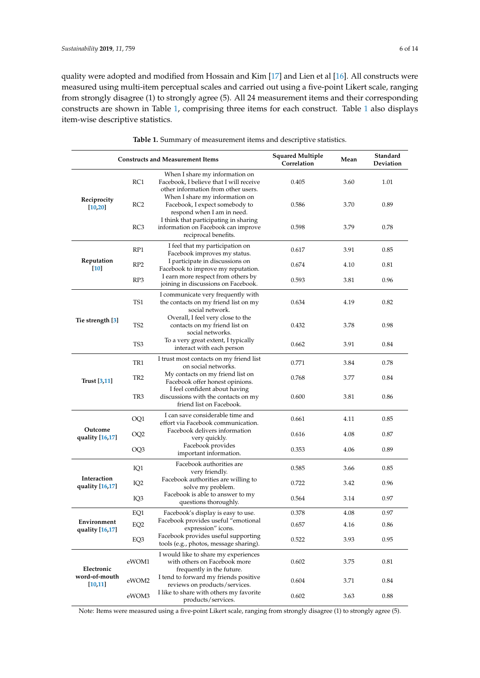quality were adopted and modified from Hossain and Kim [\[17\]](#page-12-16) and Lien et al [\[16\]](#page-12-15). All constructs were measured using multi-item perceptual scales and carried out using a five-point Likert scale, ranging from strongly disagree (1) to strongly agree (5). All 24 measurement items and their corresponding constructs are shown in Table [1,](#page-5-0) comprising three items for each construct. Table [1](#page-5-0) also displays item-wise descriptive statistics.

<span id="page-5-0"></span>

|                                |                                                                                 | <b>Constructs and Measurement Items</b>                                                                          | <b>Squared Multiple</b><br>Correlation | Mean | Standard<br>Deviation |
|--------------------------------|---------------------------------------------------------------------------------|------------------------------------------------------------------------------------------------------------------|----------------------------------------|------|-----------------------|
|                                | RC1                                                                             | When I share my information on<br>Facebook, I believe that I will receive<br>other information from other users. | 0.405                                  | 3.60 | 1.01                  |
| Reciprocity<br>[10, 20]        | RC2                                                                             | When I share my information on<br>Facebook, I expect somebody to<br>respond when I am in need.                   | 0.586                                  | 3.70 | 0.89                  |
|                                | RC3                                                                             | I think that participating in sharing<br>information on Facebook can improve<br>reciprocal benefits.             | 0.598                                  | 3.79 | 0.78                  |
|                                | RP1                                                                             | I feel that my participation on<br>Facebook improves my status.                                                  | 0.617                                  | 3.91 | 0.85                  |
| Reputation<br>$[10]$           | RP <sub>2</sub>                                                                 | I participate in discussions on<br>Facebook to improve my reputation.                                            | 0.674                                  | 4.10 | 0.81                  |
|                                | RP3                                                                             | I earn more respect from others by<br>joining in discussions on Facebook.                                        | 0.593                                  | 3.81 | 0.96                  |
|                                | TS1                                                                             | I communicate very frequently with<br>the contacts on my friend list on my<br>social network.                    | 0.634                                  | 4.19 | 0.82                  |
| Tie strength [3]               | TS <sub>2</sub>                                                                 | Overall, I feel very close to the<br>contacts on my friend list on<br>social networks.                           | 0.432                                  | 3.78 | 0.98                  |
|                                | TS3                                                                             | To a very great extent, I typically<br>interact with each person                                                 | 0.662                                  | 3.91 | 0.84                  |
|                                | TR1                                                                             | I trust most contacts on my friend list<br>on social networks.                                                   | 0.771                                  | 3.84 | 0.78                  |
| <b>Trust</b> [3,11]            | TR <sub>2</sub>                                                                 | My contacts on my friend list on<br>Facebook offer honest opinions.<br>I feel confident about having             | 0.768                                  | 3.77 | 0.84                  |
|                                | TR3                                                                             | discussions with the contacts on my<br>friend list on Facebook.                                                  | 0.600                                  | 3.81 | 0.86                  |
|                                | OQ1                                                                             | I can save considerable time and<br>effort via Facebook communication.                                           | 0.661                                  | 4.11 | 0.85                  |
| Outcome<br>quality [16,17]     | OQ <sub>2</sub>                                                                 | Facebook delivers information<br>very quickly.                                                                   | 0.616                                  | 4.08 | 0.87                  |
|                                | OQ3                                                                             | Facebook provides<br>important information.                                                                      | 0.353                                  | 4.06 | 0.89                  |
|                                | IQ1                                                                             | Facebook authorities are<br>very friendly.                                                                       | 0.585                                  | 3.66 | 0.85                  |
| Interaction<br>quality [16,17] | IQ2                                                                             | Facebook authorities are willing to<br>solve my problem.                                                         | 0.722                                  | 3.42 | 0.96                  |
|                                | IQ3                                                                             | Facebook is able to answer to my<br>questions thoroughly.                                                        | 0.564                                  | 3.14 | 0.97                  |
|                                | EQ1                                                                             | Facebook's display is easy to use.                                                                               | 0.378                                  | 4.08 | 0.97                  |
| Environment<br>quality [16,17] | EQ <sub>2</sub>                                                                 | Facebook provides useful "emotional<br>expression" icons.                                                        | 0.657                                  | 4.16 | 0.86                  |
|                                | EQ3                                                                             | Facebook provides useful supporting<br>tools (e.g., photos, message sharing).                                    | 0.522                                  | 3.93 | 0.95                  |
| Electronic                     | eWOM1                                                                           | I would like to share my experiences<br>with others on Facebook more<br>frequently in the future.                | 0.602                                  | 3.75 | 0.81                  |
| word-of-mouth<br>[10, 11]      | I tend to forward my friends positive<br>eWOM2<br>reviews on products/services. |                                                                                                                  | 0.604                                  | 3.71 | 0.84                  |
|                                | eWOM3                                                                           | I like to share with others my favorite<br>products/services.                                                    | 0.602                                  | 3.63 | 0.88                  |

**Table 1.** Summary of measurement items and descriptive statistics.

Note: Items were measured using a five-point Likert scale, ranging from strongly disagree (1) to strongly agree (5).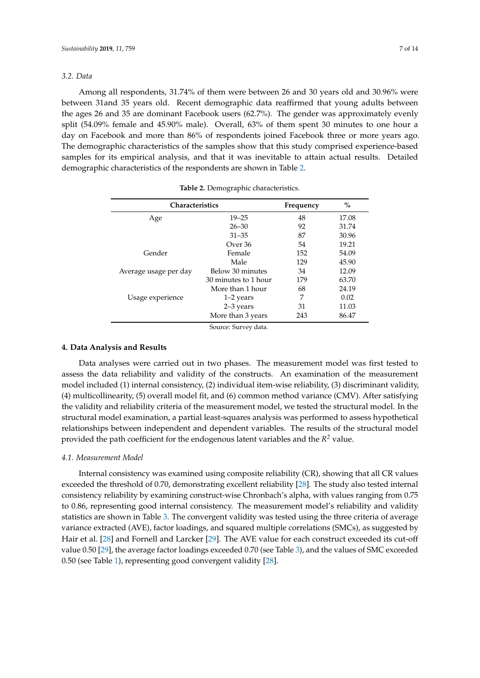#### *3.2. Data*

Among all respondents, 31.74% of them were between 26 and 30 years old and 30.96% were between 31and 35 years old. Recent demographic data reaffirmed that young adults between the ages 26 and 35 are dominant Facebook users (62.7%). The gender was approximately evenly split (54.09% female and 45.90% male). Overall, 63% of them spent 30 minutes to one hour a day on Facebook and more than 86% of respondents joined Facebook three or more years ago. The demographic characteristics of the samples show that this study comprised experience-based samples for its empirical analysis, and that it was inevitable to attain actual results. Detailed demographic characteristics of the respondents are shown in Table [2.](#page-6-1)

<span id="page-6-1"></span>

| <b>Characteristics</b> | Frequency            | $\%$ |       |
|------------------------|----------------------|------|-------|
| Age                    | $19 - 25$            | 48   | 17.08 |
|                        | $26 - 30$            | 92   | 31.74 |
|                        | $31 - 35$            | 87   | 30.96 |
|                        | Over 36              | 54   | 19.21 |
| Gender                 | Female               | 152  | 54.09 |
|                        | Male                 | 129  | 45.90 |
| Average usage per day  | Below 30 minutes     | 34   | 12.09 |
|                        | 30 minutes to 1 hour | 179  | 63.70 |
|                        | More than 1 hour     | 68   | 24.19 |
| Usage experience       | $1-2$ years          | 7    | 0.02  |
|                        | $2-3$ years          | 31   | 11.03 |
|                        | More than 3 years    | 243  | 86.47 |

**Table 2.** Demographic characteristics.

Source: Survey data.

## <span id="page-6-0"></span>**4. Data Analysis and Results**

Data analyses were carried out in two phases. The measurement model was first tested to assess the data reliability and validity of the constructs. An examination of the measurement model included (1) internal consistency, (2) individual item-wise reliability, (3) discriminant validity, (4) multicollinearity, (5) overall model fit, and (6) common method variance (CMV). After satisfying the validity and reliability criteria of the measurement model, we tested the structural model. In the structural model examination, a partial least-squares analysis was performed to assess hypothetical relationships between independent and dependent variables. The results of the structural model provided the path coefficient for the endogenous latent variables and the *R <sup>2</sup>* value.

#### *4.1. Measurement Model*

Internal consistency was examined using composite reliability (CR), showing that all CR values exceeded the threshold of 0.70, demonstrating excellent reliability [\[28\]](#page-13-5). The study also tested internal consistency reliability by examining construct-wise Chronbach's alpha, with values ranging from 0.75 to 0.86, representing good internal consistency. The measurement model's reliability and validity statistics are shown in Table [3.](#page-7-0) The convergent validity was tested using the three criteria of average variance extracted (AVE), factor loadings, and squared multiple correlations (SMCs), as suggested by Hair et al. [\[28\]](#page-13-5) and Fornell and Larcker [\[29\]](#page-13-6). The AVE value for each construct exceeded its cut-off value 0.50 [\[29\]](#page-13-6), the average factor loadings exceeded 0.70 (see Table [3\)](#page-7-0), and the values of SMC exceeded 0.50 (see Table [1\)](#page-5-0), representing good convergent validity [\[28\]](#page-13-5).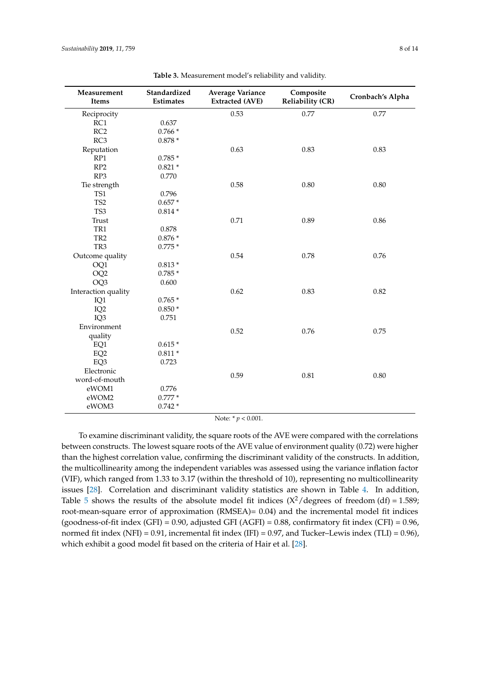<span id="page-7-0"></span>

| Measurement<br>Items | Standardized<br><b>Estimates</b> | <b>Average Variance</b><br><b>Extracted (AVE)</b> | Composite<br><b>Reliability (CR)</b> | Cronbach's Alpha |
|----------------------|----------------------------------|---------------------------------------------------|--------------------------------------|------------------|
| Reciprocity          |                                  | 0.53                                              | 0.77                                 | 0.77             |
| RC1                  | 0.637                            |                                                   |                                      |                  |
| RC2                  | $0.766*$                         |                                                   |                                      |                  |
| RC3                  | $0.878*$                         |                                                   |                                      |                  |
| Reputation           |                                  | 0.63                                              | 0.83                                 | 0.83             |
| RP1                  | $0.785*$                         |                                                   |                                      |                  |
| RP2                  | $0.821*$                         |                                                   |                                      |                  |
| RP3                  | 0.770                            |                                                   |                                      |                  |
| Tie strength         |                                  | 0.58                                              | 0.80                                 | 0.80             |
| TS1                  | 0.796                            |                                                   |                                      |                  |
| TS <sub>2</sub>      | $0.657*$                         |                                                   |                                      |                  |
| TS3                  | $0.814*$                         |                                                   |                                      |                  |
| <b>Trust</b>         |                                  | 0.71                                              | 0.89                                 | 0.86             |
| TR1                  | 0.878                            |                                                   |                                      |                  |
| TR <sub>2</sub>      | $0.876*$                         |                                                   |                                      |                  |
| TR3                  | $0.775*$                         |                                                   |                                      |                  |
| Outcome quality      |                                  | 0.54                                              | 0.78                                 | 0.76             |
| OQ1                  | $0.813*$                         |                                                   |                                      |                  |
| OQ <sub>2</sub>      | $0.785*$                         |                                                   |                                      |                  |
| OQ <sub>3</sub>      | 0.600                            |                                                   |                                      |                  |
| Interaction quality  |                                  | 0.62                                              | 0.83                                 | 0.82             |
| IQ1                  | $0.765*$                         |                                                   |                                      |                  |
| IQ <sub>2</sub>      | $0.850*$                         |                                                   |                                      |                  |
| IQ3                  | 0.751                            |                                                   |                                      |                  |
| Environment          |                                  | 0.52                                              | 0.76                                 | 0.75             |
| quality              |                                  |                                                   |                                      |                  |
| EQ1                  | $0.615*$                         |                                                   |                                      |                  |
| EQ <sub>2</sub>      | $0.811*$                         |                                                   |                                      |                  |
| EQ3                  | 0.723                            |                                                   |                                      |                  |
| Electronic           |                                  | 0.59                                              | 0.81                                 | 0.80             |
| word-of-mouth        |                                  |                                                   |                                      |                  |
| eWOM1                | 0.776                            |                                                   |                                      |                  |
| eWOM2                | $0.777*$                         |                                                   |                                      |                  |
| eWOM3                | $0.742*$                         |                                                   |                                      |                  |

**Table 3.** Measurement model's reliability and validity.

Note: \* *p* < 0.001.

To examine discriminant validity, the square roots of the AVE were compared with the correlations between constructs. The lowest square roots of the AVE value of environment quality (0.72) were higher than the highest correlation value, confirming the discriminant validity of the constructs. In addition, the multicollinearity among the independent variables was assessed using the variance inflation factor (VIF), which ranged from 1.33 to 3.17 (within the threshold of 10), representing no multicollinearity issues [\[28\]](#page-13-5). Correlation and discriminant validity statistics are shown in Table [4.](#page-8-0) In addition, Table [5](#page-8-1) shows the results of the absolute model fit indices  $(X^2/d$ egrees of freedom (df) = 1.589; root-mean-square error of approximation (RMSEA)= 0.04) and the incremental model fit indices (goodness-of-fit index (GFI) =  $0.90$ , adjusted GFI (AGFI) =  $0.88$ , confirmatory fit index (CFI) =  $0.96$ , normed fit index (NFI) =  $0.91$ , incremental fit index (IFI) =  $0.97$ , and Tucker–Lewis index (TLI) =  $0.96$ ), which exhibit a good model fit based on the criteria of Hair et al. [\[28\]](#page-13-5).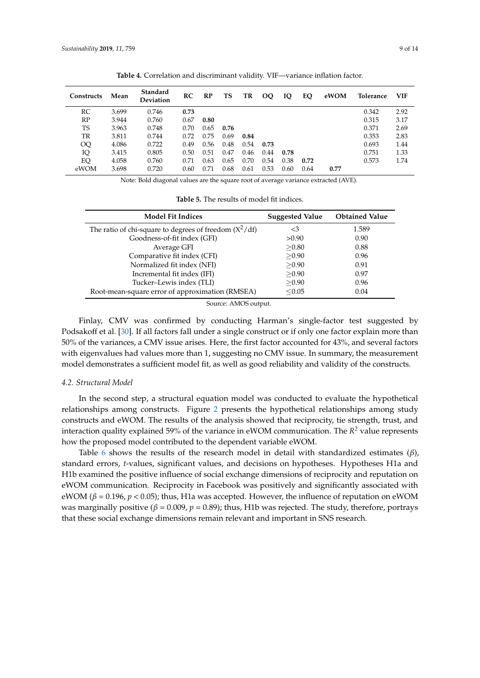<span id="page-8-0"></span>

| <b>Constructs</b> | Mean  | Standard<br><b>Deviation</b> | RC   | RP   | TS   | TR   | <sub>00</sub> | IQ   | EQ   | eWOM | Tolerance | VIF  |
|-------------------|-------|------------------------------|------|------|------|------|---------------|------|------|------|-----------|------|
| RC                | 3.699 | 0.746                        | 0.73 |      |      |      |               |      |      |      | 0.342     | 2.92 |
| RP                | 3.944 | 0.760                        | 0.67 | 0.80 |      |      |               |      |      |      | 0.315     | 3.17 |
| <b>TS</b>         | 3.963 | 0.748                        | 0.70 | 0.65 | 0.76 |      |               |      |      |      | 0.371     | 2.69 |
| TR                | 3.811 | 0.744                        | 0.72 | 0.75 | 0.69 | 0.84 |               |      |      |      | 0.353     | 2.83 |
| OQ.               | 4.086 | 0.722                        | 0.49 | 0.56 | 0.48 | 0.54 | 0.73          |      |      |      | 0.693     | 1.44 |
| IQ                | 3.415 | 0.805                        | 0.50 | 0.51 | 0.47 | 0.46 | 0.44          | 0.78 |      |      | 0.751     | 1.33 |
| EQ                | 4.058 | 0.760                        | 0.71 | 0.63 | 0.65 | 0.70 | 0.54          | 0.38 | 0.72 |      | 0.573     | 1.74 |
| eWOM              | 3.698 | 0.720                        | 0.60 | 0.71 | 0.68 | 0.61 | 0.53          | 0.60 | 0.64 | 0.77 |           |      |

**Table 4.** Correlation and discriminant validity. VIF—variance inflation factor.

Note: Bold diagonal values are the square root of average variance extracted (AVE).

<span id="page-8-1"></span>**Model Fit Indices Suggested Value Obtained Value** The ratio of chi-square to degrees of freedom  $(X^2/df)$  <3 1.589 Goodness-of-fit index (GFI)  $>0.90$  0.90 Average GFI  $\geq 0.80$  0.88 Comparative fit index (CFI)  $\geq 0.90$  0.96 Normalized fit index (NFI)  $\geq 0.90$  0.91 Incremental fit index (IFI)  $>0.90$  0.97

**Table 5.** The results of model fit indices.

Source: AMOS output.

Root-mean-square error of approximation (RMSEA)  $\leq 0.05$  0.04

Tucker–Lewis index (TLI)  $>0.90$  0.96

Finlay, CMV was confirmed by conducting Harman's single-factor test suggested by Podsakoff et al. [\[30\]](#page-13-7). If all factors fall under a single construct or if only one factor explain more than 50% of the variances, a CMV issue arises. Here, the first factor accounted for 43%, and several factors with eigenvalues had values more than 1, suggesting no CMV issue. In summary, the measurement model demonstrates a sufficient model fit, as well as good reliability and validity of the constructs.

## *4.2. Structural Model*

In the second step, a structural equation model was conducted to evaluate the hypothetical relationships among constructs. Figure [2](#page-9-1) presents the hypothetical relationships among study constructs and eWOM. The results of the analysis showed that reciprocity, tie strength, trust, and interaction quality explained 59% of the variance in eWOM communication. The  $R^2$  value represents how the proposed model contributed to the dependent variable eWOM.

Table [6](#page-9-2) shows the results of the research model in detail with standardized estimates (*β*), standard errors, *t*-values, significant values, and decisions on hypotheses. Hypotheses H1a and H1b examined the positive influence of social exchange dimensions of reciprocity and reputation on eWOM communication. Reciprocity in Facebook was positively and significantly associated with eWOM ( $\beta$  = 0.196,  $p$  < 0.05); thus, H1a was accepted. However, the influence of reputation on eWOM was marginally positive ( $\beta$  = 0.009,  $p$  = 0.89); thus, H1b was rejected. The study, therefore, portrays that these social exchange dimensions remain relevant and important in SNS research.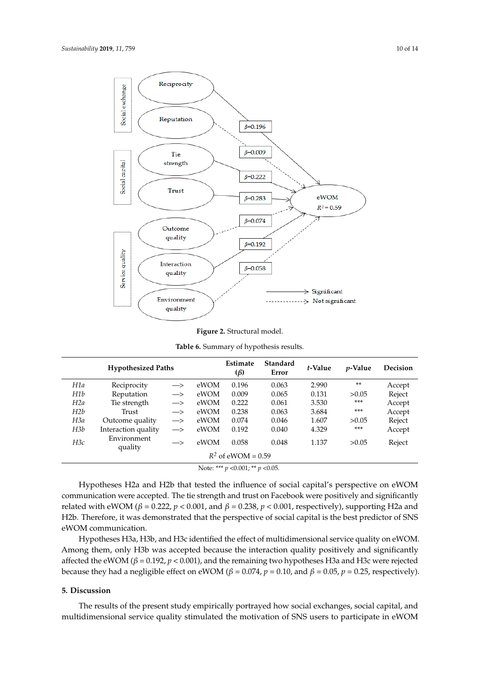<span id="page-9-1"></span>

**Figure 2.** Structural model. **Figure 2.** Structural model.

|  |  | Table 6. Summary of hypothesis results. |  |
|--|--|-----------------------------------------|--|
|--|--|-----------------------------------------|--|

<span id="page-9-2"></span>

| <b>Hypothesized Paths</b>             |                        |                   |      | Estimate<br>$(\beta)$ | Standard<br>Error | t-Value | <i>p</i> -Value | Decision |  |
|---------------------------------------|------------------------|-------------------|------|-----------------------|-------------------|---------|-----------------|----------|--|
| H1a                                   | Reciprocity            | $\rightarrow$     | eWOM | 0.196                 | 0.063             | 2.990   | $***$           | Accept   |  |
| H1b                                   | Reputation             | $\rightarrow$     | eWOM | 0.009                 | 0.065             | 0.131   | >0.05           | Reject   |  |
| H2a                                   | Tie strength           | $\Longrightarrow$ | eWOM | 0.222                 | 0.061             | 3.530   | ***             | Accept   |  |
| H2b                                   | Trust                  | $\rightarrow$     | eWOM | 0.238                 | 0.063             | 3.684   | $***$           | Accept   |  |
| H3a                                   | Outcome quality        | $\rightarrow$     | eWOM | 0.074                 | 0.046             | 1.607   | >0.05           | Reject   |  |
| H3b                                   | Interaction quality    | $\rightarrow$     | eWOM | 0.192                 | 0.040             | 4.329   | $***$           | Accept   |  |
| H3c                                   | Environment<br>quality | $\rightarrow$     | eWOM | 0.058                 | 0.048             | 1.137   | >0.05           | Reject   |  |
| $R^2$ of eWOM = 0.59                  |                        |                   |      |                       |                   |         |                 |          |  |
| Note: *** $p$ < 0.001; ** $p$ < 0.05. |                        |                   |      |                       |                   |         |                 |          |  |

Hypotheses H2a and H2b that tested the influence of social capital's perspective on eWOM communication were accepted. The tie strength and trust on Facebook were positively and significantly *related with eWOM (* $\beta$  *= 0.222,*  $p$  *< 0.001, and*  $\beta$  *= 0.238,*  $p$  *< 0.001, respectively), supporting H2a and* H2b. Therefore, it was demonstrated that the perspective of social capital is the best predictor of SNS eWOM communication.

Hypotheses H3a, H3b, and H3c identified the effect of multidimensional service quality on eWOM Among them, only H3b was accepted because the interaction quality positively and significantly affected the eWOM (*β* = 0.192, *p* < 0.001), and the remaining two hypotheses H3a and H3c were rejected because they had a negligible effect on eWOM (*β* = 0.074, *p* = 0.10, and *β* = 0.05, *p* = 0.25, respectively). Hypotheses H3a, H3b, and H3c identified the effect of multidimensional service quality on eWOM. affected the eWOM ( $\beta$  = 0.192,  $p$  < 0.001), and the remaining two hypotheses H3a and H3c were rejected

#### <span id="page-9-0"></span>**5. Discussion**

Note: \*\*\* *p* <0.001; \*\* *p* <0.05. multidimensional service quality stimulated the motivation of SNS users to participate in eWOM The results of the present study empirically portrayed how social exchanges, social capital, and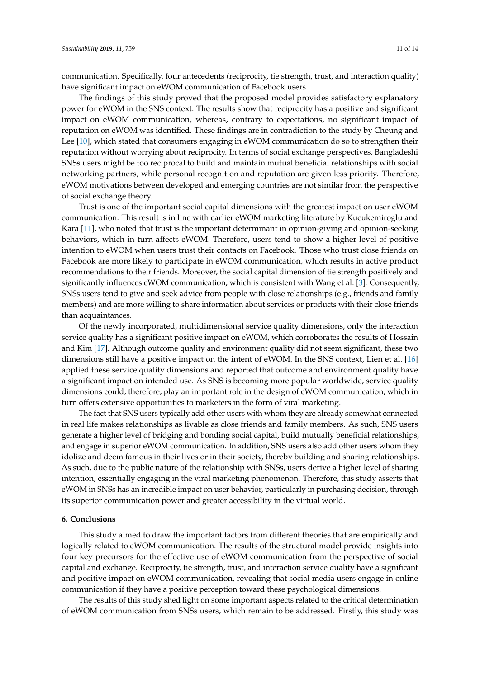communication. Specifically, four antecedents (reciprocity, tie strength, trust, and interaction quality) have significant impact on eWOM communication of Facebook users.

The findings of this study proved that the proposed model provides satisfactory explanatory power for eWOM in the SNS context. The results show that reciprocity has a positive and significant impact on eWOM communication, whereas, contrary to expectations, no significant impact of reputation on eWOM was identified. These findings are in contradiction to the study by Cheung and Lee [\[10\]](#page-12-9), which stated that consumers engaging in eWOM communication do so to strengthen their reputation without worrying about reciprocity. In terms of social exchange perspectives, Bangladeshi SNSs users might be too reciprocal to build and maintain mutual beneficial relationships with social networking partners, while personal recognition and reputation are given less priority. Therefore, eWOM motivations between developed and emerging countries are not similar from the perspective of social exchange theory.

Trust is one of the important social capital dimensions with the greatest impact on user eWOM communication. This result is in line with earlier eWOM marketing literature by Kucukemiroglu and Kara [\[11\]](#page-12-10), who noted that trust is the important determinant in opinion-giving and opinion-seeking behaviors, which in turn affects eWOM. Therefore, users tend to show a higher level of positive intention to eWOM when users trust their contacts on Facebook. Those who trust close friends on Facebook are more likely to participate in eWOM communication, which results in active product recommendations to their friends. Moreover, the social capital dimension of tie strength positively and significantly influences eWOM communication, which is consistent with Wang et al. [\[3\]](#page-12-2). Consequently, SNSs users tend to give and seek advice from people with close relationships (e.g., friends and family members) and are more willing to share information about services or products with their close friends than acquaintances.

Of the newly incorporated, multidimensional service quality dimensions, only the interaction service quality has a significant positive impact on eWOM, which corroborates the results of Hossain and Kim [\[17\]](#page-12-16). Although outcome quality and environment quality did not seem significant, these two dimensions still have a positive impact on the intent of eWOM. In the SNS context, Lien et al. [\[16\]](#page-12-15) applied these service quality dimensions and reported that outcome and environment quality have a significant impact on intended use. As SNS is becoming more popular worldwide, service quality dimensions could, therefore, play an important role in the design of eWOM communication, which in turn offers extensive opportunities to marketers in the form of viral marketing.

The fact that SNS users typically add other users with whom they are already somewhat connected in real life makes relationships as livable as close friends and family members. As such, SNS users generate a higher level of bridging and bonding social capital, build mutually beneficial relationships, and engage in superior eWOM communication. In addition, SNS users also add other users whom they idolize and deem famous in their lives or in their society, thereby building and sharing relationships. As such, due to the public nature of the relationship with SNSs, users derive a higher level of sharing intention, essentially engaging in the viral marketing phenomenon. Therefore, this study asserts that eWOM in SNSs has an incredible impact on user behavior, particularly in purchasing decision, through its superior communication power and greater accessibility in the virtual world.

#### **6. Conclusions**

This study aimed to draw the important factors from different theories that are empirically and logically related to eWOM communication. The results of the structural model provide insights into four key precursors for the effective use of eWOM communication from the perspective of social capital and exchange. Reciprocity, tie strength, trust, and interaction service quality have a significant and positive impact on eWOM communication, revealing that social media users engage in online communication if they have a positive perception toward these psychological dimensions.

The results of this study shed light on some important aspects related to the critical determination of eWOM communication from SNSs users, which remain to be addressed. Firstly, this study was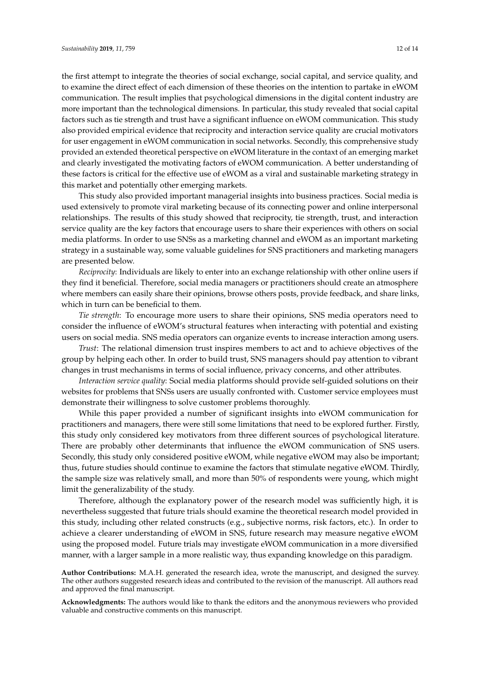the first attempt to integrate the theories of social exchange, social capital, and service quality, and to examine the direct effect of each dimension of these theories on the intention to partake in eWOM communication. The result implies that psychological dimensions in the digital content industry are more important than the technological dimensions. In particular, this study revealed that social capital factors such as tie strength and trust have a significant influence on eWOM communication. This study also provided empirical evidence that reciprocity and interaction service quality are crucial motivators for user engagement in eWOM communication in social networks. Secondly, this comprehensive study provided an extended theoretical perspective on eWOM literature in the contaxt of an emerging market and clearly investigated the motivating factors of eWOM communication. A better understanding of these factors is critical for the effective use of eWOM as a viral and sustainable marketing strategy in this market and potentially other emerging markets.

This study also provided important managerial insights into business practices. Social media is used extensively to promote viral marketing because of its connecting power and online interpersonal relationships. The results of this study showed that reciprocity, tie strength, trust, and interaction service quality are the key factors that encourage users to share their experiences with others on social media platforms. In order to use SNSs as a marketing channel and eWOM as an important marketing strategy in a sustainable way, some valuable guidelines for SNS practitioners and marketing managers are presented below.

*Reciprocity*: Individuals are likely to enter into an exchange relationship with other online users if they find it beneficial. Therefore, social media managers or practitioners should create an atmosphere where members can easily share their opinions, browse others posts, provide feedback, and share links, which in turn can be beneficial to them.

*Tie strength*: To encourage more users to share their opinions, SNS media operators need to consider the influence of eWOM's structural features when interacting with potential and existing users on social media. SNS media operators can organize events to increase interaction among users.

*Trust*: The relational dimension trust inspires members to act and to achieve objectives of the group by helping each other. In order to build trust, SNS managers should pay attention to vibrant changes in trust mechanisms in terms of social influence, privacy concerns, and other attributes.

*Interaction service quality*: Social media platforms should provide self-guided solutions on their websites for problems that SNSs users are usually confronted with. Customer service employees must demonstrate their willingness to solve customer problems thoroughly.

While this paper provided a number of significant insights into eWOM communication for practitioners and managers, there were still some limitations that need to be explored further. Firstly, this study only considered key motivators from three different sources of psychological literature. There are probably other determinants that influence the eWOM communication of SNS users. Secondly, this study only considered positive eWOM, while negative eWOM may also be important; thus, future studies should continue to examine the factors that stimulate negative eWOM. Thirdly, the sample size was relatively small, and more than 50% of respondents were young, which might limit the generalizability of the study.

Therefore, although the explanatory power of the research model was sufficiently high, it is nevertheless suggested that future trials should examine the theoretical research model provided in this study, including other related constructs (e.g., subjective norms, risk factors, etc.). In order to achieve a clearer understanding of eWOM in SNS, future research may measure negative eWOM using the proposed model. Future trials may investigate eWOM communication in a more diversified manner, with a larger sample in a more realistic way, thus expanding knowledge on this paradigm.

**Author Contributions:** M.A.H. generated the research idea, wrote the manuscript, and designed the survey. The other authors suggested research ideas and contributed to the revision of the manuscript. All authors read and approved the final manuscript.

**Acknowledgments:** The authors would like to thank the editors and the anonymous reviewers who provided valuable and constructive comments on this manuscript.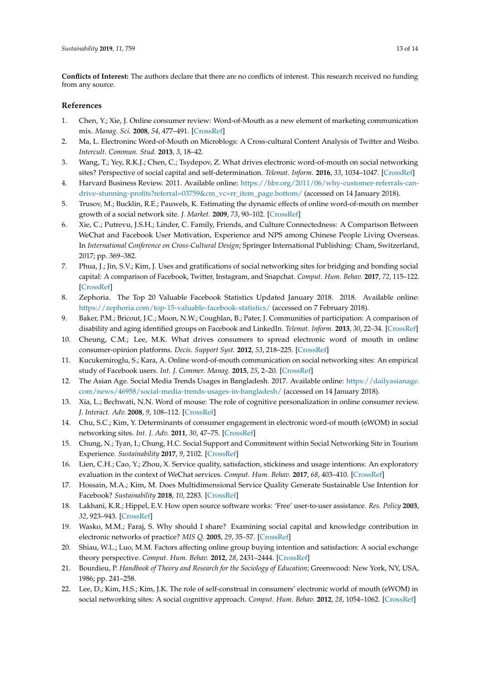**Conflicts of Interest:** The authors declare that there are no conflicts of interest. This research received no funding from any source.

# **References**

- <span id="page-12-0"></span>1. Chen, Y.; Xie, J. Online consumer review: Word-of-Mouth as a new element of marketing communication mix. *Manag. Sci.* **2008**, *54*, 477–491. [\[CrossRef\]](http://dx.doi.org/10.1287/mnsc.1070.0810)
- <span id="page-12-1"></span>2. Ma, L. Electroninc Word-of-Mouth on Microblogs: A Cross-cultural Content Analysis of Twitter and Weibo. *Intercult. Commun. Stud.* **2013**, *3*, 18–42.
- <span id="page-12-2"></span>3. Wang, T.; Yey, R.K.J.; Chen, C.; Tsydepov, Z. What drives electronic word-of-mouth on social networking sites? Perspective of social capital and self-determination. *Telemat. Inform.* **2016**, *33*, 1034–1047. [\[CrossRef\]](http://dx.doi.org/10.1016/j.tele.2016.03.005)
- <span id="page-12-3"></span>4. Harvard Business Review. 2011. Available online: [https://hbr.org/2011/06/why-customer-referrals-can](https://hbr.org/2011/06/why-customer-referrals-can-drive-stunning-profits?referral=03759&cm_vc=rr_item_page.bottom/)[drive-stunning-profits?referral=03759&cm\\_vc=rr\\_item\\_page.bottom/](https://hbr.org/2011/06/why-customer-referrals-can-drive-stunning-profits?referral=03759&cm_vc=rr_item_page.bottom/) (accessed on 14 January 2018).
- <span id="page-12-4"></span>5. Trusov, M.; Bucklin, R.E.; Pauwels, K. Estimating the dynamic effects of online word-of-mouth on member growth of a social network site. *J. Market.* **2009**, *73*, 90–102. [\[CrossRef\]](http://dx.doi.org/10.1509/jmkg.73.5.90)
- <span id="page-12-5"></span>6. Xie, C.; Putrevu, J.S.H.; Linder, C. Family, Friends, and Culture Connectedness: A Comparison Between WeChat and Facebook User Motivation, Experience and NPS among Chinese People Living Overseas. In *International Conference on Cross-Cultural Design*; Springer International Publishing: Cham, Switzerland, 2017; pp. 369–382.
- <span id="page-12-6"></span>7. Phua, J.; Jin, S.V.; Kim, J. Uses and gratifications of social networking sites for bridging and bonding social capital: A comparison of Facebook, Twitter, Instagram, and Snapchat. *Comput. Hum. Behav.* **2017**, *72*, 115–122. [\[CrossRef\]](http://dx.doi.org/10.1016/j.chb.2017.02.041)
- <span id="page-12-7"></span>8. Zephoria. The Top 20 Valuable Facebook Statistics Updated January 2018. 2018. Available online: <https://zephoria.com/top-15-valuable-facebook-statistics/> (accessed on 7 February 2018).
- <span id="page-12-8"></span>9. Baker, P.M.; Bricout, J.C.; Moon, N.W.; Coughlan, B.; Pater, J. Communities of participation: A comparison of disability and aging identified groups on Facebook and LinkedIn. *Telemat. Inform.* **2013**, *30*, 22–34. [\[CrossRef\]](http://dx.doi.org/10.1016/j.tele.2012.03.004)
- <span id="page-12-9"></span>10. Cheung, C.M.; Lee, M.K. What drives consumers to spread electronic word of mouth in online consumer-opinion platforms. *Decis. Support Syst.* **2012**, *53*, 218–225. [\[CrossRef\]](http://dx.doi.org/10.1016/j.dss.2012.01.015)
- <span id="page-12-10"></span>11. Kucukemiroglu, S.; Kara, A. Online word-of-mouth communication on social networking sites: An empirical study of Facebook users. *Int. J. Commer. Manag.* **2015**, *25*, 2–20. [\[CrossRef\]](http://dx.doi.org/10.1108/IJCoMA-11-2012-0070)
- <span id="page-12-11"></span>12. The Asian Age. Social Media Trends Usages in Bangladesh. 2017. Available online: [https://dailyasianage.](https://dailyasianage.com/news/46958/social-media-trends-usages-in-bangladesh/) [com/news/46958/social-media-trends-usages-in-bangladesh/](https://dailyasianage.com/news/46958/social-media-trends-usages-in-bangladesh/) (accessed on 14 January 2018).
- <span id="page-12-12"></span>13. Xia, L.; Bechwati, N.N. Word of mouse: The role of cognitive personalization in online consumer review. *J. Interact. Adv.* **2008**, *9*, 108–112. [\[CrossRef\]](http://dx.doi.org/10.1080/15252019.2008.10722143)
- <span id="page-12-13"></span>14. Chu, S.C.; Kim, Y. Determinants of consumer engagement in electronic word-of mouth (eWOM) in social networking sites. *Int. J. Adv.* **2011**, *30*, 47–75. [\[CrossRef\]](http://dx.doi.org/10.2501/IJA-30-1-047-075)
- <span id="page-12-14"></span>15. Chung, N.; Tyan, I.; Chung, H.C. Social Support and Commitment within Social Networking Site in Tourism Experience. *Sustainability* **2017**, *9*, 2102. [\[CrossRef\]](http://dx.doi.org/10.3390/su9112102)
- <span id="page-12-15"></span>16. Lien, C.H.; Cao, Y.; Zhou, X. Service quality, satisfaction, stickiness and usage intentions: An exploratory evaluation in the context of WeChat services. *Comput. Hum. Behav.* **2017**, *68*, 403–410. [\[CrossRef\]](http://dx.doi.org/10.1016/j.chb.2016.11.061)
- <span id="page-12-16"></span>17. Hossain, M.A.; Kim, M. Does Multidimensional Service Quality Generate Sustainable Use Intention for Facebook? *Sustainability* **2018**, *10*, 2283. [\[CrossRef\]](http://dx.doi.org/10.3390/su10072283)
- <span id="page-12-17"></span>18. Lakhani, K.R.; Hippel, E.V. How open source software works: 'Free' user-to-user assistance. *Res. Policy* **2003**, *32*, 923–943. [\[CrossRef\]](http://dx.doi.org/10.1016/S0048-7333(02)00095-1)
- <span id="page-12-18"></span>19. Wasko, M.M.; Faraj, S. Why should I share? Examining social capital and knowledge contribution in electronic networks of practice? *MIS Q.* **2005**, *29*, 35–57. [\[CrossRef\]](http://dx.doi.org/10.2307/25148667)
- <span id="page-12-19"></span>20. Shiau, W.L.; Luo, M.M. Factors affecting online group buying intention and satisfaction: A social exchange theory perspective. *Comput. Hum. Behav.* **2012**, *28*, 2431–2444. [\[CrossRef\]](http://dx.doi.org/10.1016/j.chb.2012.07.030)
- <span id="page-12-20"></span>21. Bourdieu, P. *Handbook of Theory and Research for the Sociology of Education*; Greenwood: New York, NY, USA, 1986; pp. 241–258.
- <span id="page-12-21"></span>22. Lee, D.; Kim, H.S.; Kim, J.K. The role of self-construal in consumers' electronic world of mouth (eWOM) in social networking sites: A social cognitive approach. *Comput. Hum. Behav.* **2012**, *28*, 1054–1062. [\[CrossRef\]](http://dx.doi.org/10.1016/j.chb.2012.01.009)